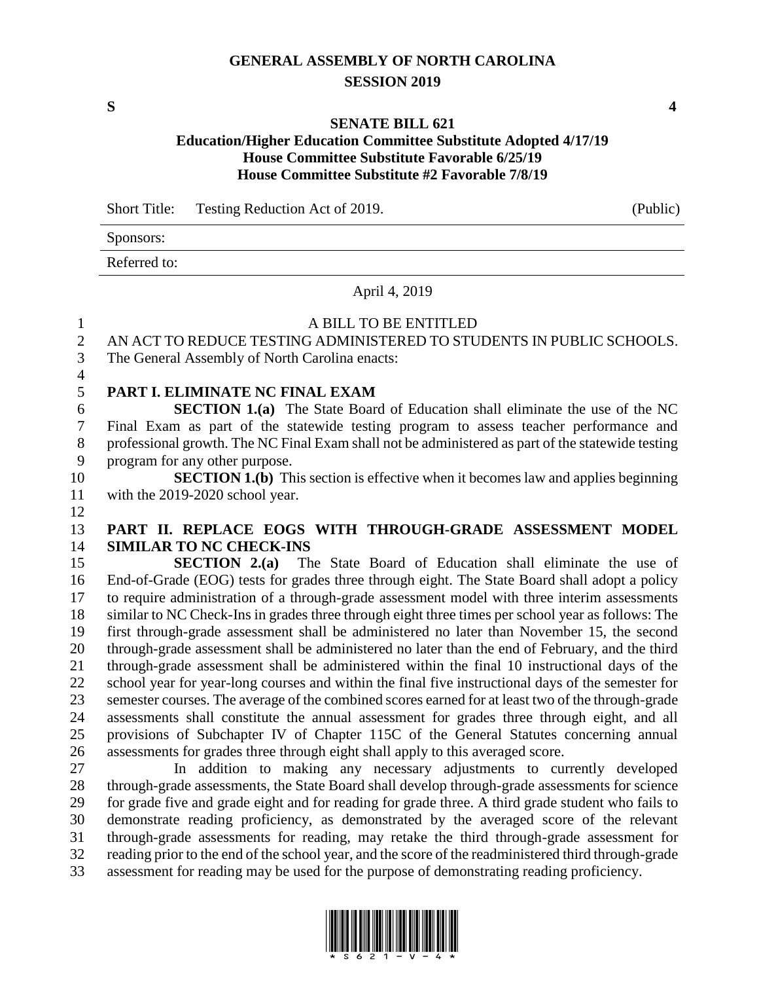# **GENERAL ASSEMBLY OF NORTH CAROLINA SESSION 2019**

**S 4**

#### **SENATE BILL 621**

# **Education/Higher Education Committee Substitute Adopted 4/17/19 House Committee Substitute Favorable 6/25/19 House Committee Substitute #2 Favorable 7/8/19**

Short Title: Testing Reduction Act of 2019. (Public)

Sponsors:

Referred to:

#### April 4, 2019

# 1 A BILL TO BE ENTITLED

AN ACT TO REDUCE TESTING ADMINISTERED TO STUDENTS IN PUBLIC SCHOOLS.

The General Assembly of North Carolina enacts:

# **PART I. ELIMINATE NC FINAL EXAM**

 **SECTION 1.(a)** The State Board of Education shall eliminate the use of the NC Final Exam as part of the statewide testing program to assess teacher performance and 8 professional growth. The NC Final Exam shall not be administered as part of the statewide testing program for any other purpose.

 **SECTION 1.(b)** This section is effective when it becomes law and applies beginning with the 2019-2020 school year.

## **PART II. REPLACE EOGS WITH THROUGH-GRADE ASSESSMENT MODEL SIMILAR TO NC CHECK-INS**

 **SECTION 2.(a)** The State Board of Education shall eliminate the use of End-of-Grade (EOG) tests for grades three through eight. The State Board shall adopt a policy to require administration of a through-grade assessment model with three interim assessments similar to NC Check-Ins in grades three through eight three times per school year as follows: The first through-grade assessment shall be administered no later than November 15, the second through-grade assessment shall be administered no later than the end of February, and the third through-grade assessment shall be administered within the final 10 instructional days of the school year for year-long courses and within the final five instructional days of the semester for semester courses. The average of the combined scores earned for at least two of the through-grade assessments shall constitute the annual assessment for grades three through eight, and all provisions of Subchapter IV of Chapter 115C of the General Statutes concerning annual assessments for grades three through eight shall apply to this averaged score.

 In addition to making any necessary adjustments to currently developed through-grade assessments, the State Board shall develop through-grade assessments for science for grade five and grade eight and for reading for grade three. A third grade student who fails to demonstrate reading proficiency, as demonstrated by the averaged score of the relevant through-grade assessments for reading, may retake the third through-grade assessment for reading prior to the end of the school year, and the score of the readministered third through-grade assessment for reading may be used for the purpose of demonstrating reading proficiency.

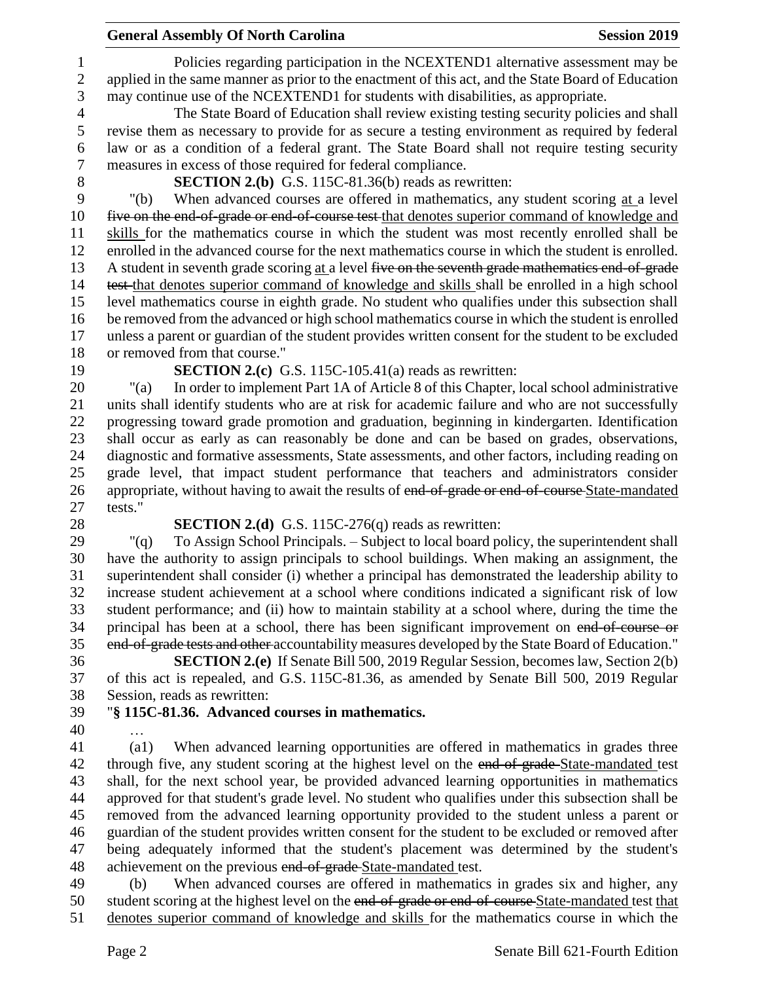## **General Assembly Of North Carolina Session 2019 Session 2019**

 Policies regarding participation in the NCEXTEND1 alternative assessment may be applied in the same manner as prior to the enactment of this act, and the State Board of Education may continue use of the NCEXTEND1 for students with disabilities, as appropriate.

 The State Board of Education shall review existing testing security policies and shall revise them as necessary to provide for as secure a testing environment as required by federal law or as a condition of a federal grant. The State Board shall not require testing security measures in excess of those required for federal compliance.

8 **SECTION 2.(b)** G.S. 115C-81.36(b) reads as rewritten:<br>9 "(b) When advanced courses are offered in mathematics, any

 "(b) When advanced courses are offered in mathematics, any student scoring at a level five on the end-of-grade or end-of-course test that denotes superior command of knowledge and skills for the mathematics course in which the student was most recently enrolled shall be enrolled in the advanced course for the next mathematics course in which the student is enrolled. A student in seventh grade scoring at a level five on the seventh grade mathematics end-of-grade test that denotes superior command of knowledge and skills shall be enrolled in a high school level mathematics course in eighth grade. No student who qualifies under this subsection shall be removed from the advanced or high school mathematics course in which the student is enrolled unless a parent or guardian of the student provides written consent for the student to be excluded or removed from that course."

**SECTION 2.(c)** G.S. 115C-105.41(a) reads as rewritten:

 "(a) In order to implement Part 1A of Article 8 of this Chapter, local school administrative units shall identify students who are at risk for academic failure and who are not successfully progressing toward grade promotion and graduation, beginning in kindergarten. Identification shall occur as early as can reasonably be done and can be based on grades, observations, diagnostic and formative assessments, State assessments, and other factors, including reading on grade level, that impact student performance that teachers and administrators consider 26 appropriate, without having to await the results of end-of-grade or end-of-course State-mandated tests."

**SECTION 2.(d)** G.S. 115C-276(q) reads as rewritten:

 "(q) To Assign School Principals. – Subject to local board policy, the superintendent shall have the authority to assign principals to school buildings. When making an assignment, the superintendent shall consider (i) whether a principal has demonstrated the leadership ability to increase student achievement at a school where conditions indicated a significant risk of low student performance; and (ii) how to maintain stability at a school where, during the time the principal has been at a school, there has been significant improvement on end-of-course or end-of-grade tests and other accountability measures developed by the State Board of Education."

 **SECTION 2.(e)** If Senate Bill 500, 2019 Regular Session, becomes law, Section 2(b) of this act is repealed, and G.S. 115C-81.36, as amended by Senate Bill 500, 2019 Regular Session, reads as rewritten:

- "**§ 115C-81.36. Advanced courses in mathematics.**
- …

 (a1) When advanced learning opportunities are offered in mathematics in grades three 42 through five, any student scoring at the highest level on the end-of-grade-State-mandated test shall, for the next school year, be provided advanced learning opportunities in mathematics approved for that student's grade level. No student who qualifies under this subsection shall be removed from the advanced learning opportunity provided to the student unless a parent or guardian of the student provides written consent for the student to be excluded or removed after being adequately informed that the student's placement was determined by the student's 48 achievement on the previous end-of-grade-State-mandated test.

 (b) When advanced courses are offered in mathematics in grades six and higher, any 50 student scoring at the highest level on the end-of-grade or end-of-course State-mandated test that denotes superior command of knowledge and skills for the mathematics course in which the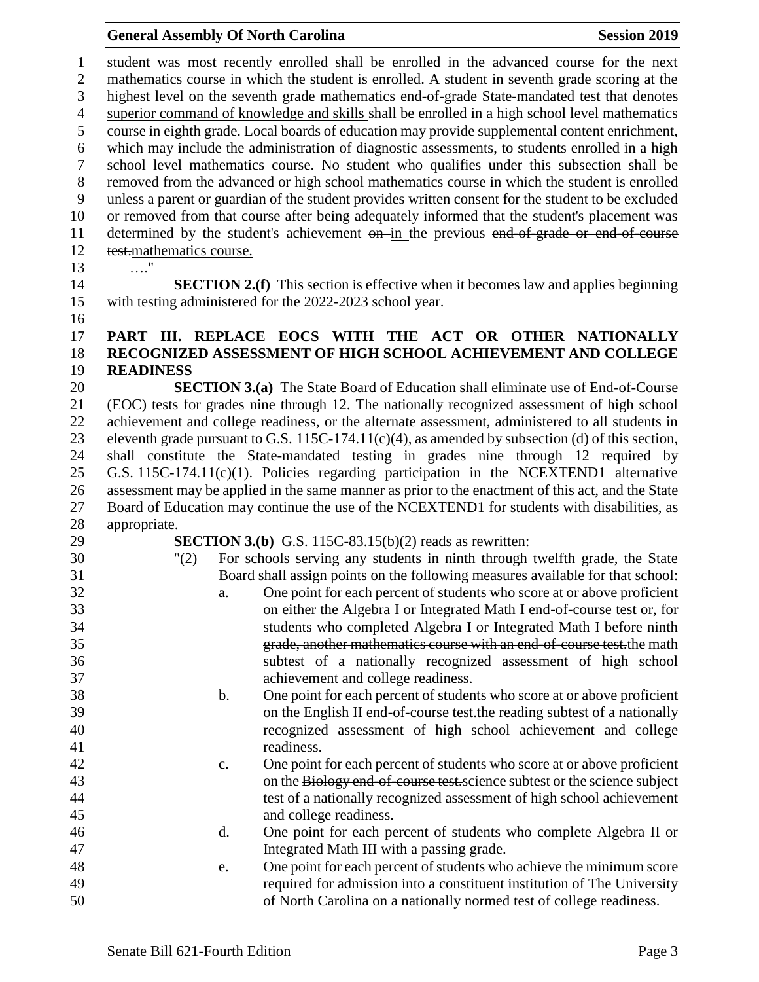#### **General Assembly Of North Carolina Session 2019 Session 2019**

 student was most recently enrolled shall be enrolled in the advanced course for the next mathematics course in which the student is enrolled. A student in seventh grade scoring at the 3 highest level on the seventh grade mathematics end-of-grade-State-mandated test that denotes superior command of knowledge and skills shall be enrolled in a high school level mathematics course in eighth grade. Local boards of education may provide supplemental content enrichment, which may include the administration of diagnostic assessments, to students enrolled in a high school level mathematics course. No student who qualifies under this subsection shall be 8 removed from the advanced or high school mathematics course in which the student is enrolled<br>9 unless a parent or guardian of the student provides written consent for the student to be excluded unless a parent or guardian of the student provides written consent for the student to be excluded or removed from that course after being adequately informed that the student's placement was 11 determined by the student's achievement on in the previous end of grade or end of course test.mathematics course. …."

 **SECTION 2.(f)** This section is effective when it becomes law and applies beginning with testing administered for the 2022-2023 school year.

#### 

# **PART III. REPLACE EOCS WITH THE ACT OR OTHER NATIONALLY RECOGNIZED ASSESSMENT OF HIGH SCHOOL ACHIEVEMENT AND COLLEGE READINESS**

 **SECTION 3.(a)** The State Board of Education shall eliminate use of End-of-Course (EOC) tests for grades nine through 12. The nationally recognized assessment of high school achievement and college readiness, or the alternate assessment, administered to all students in eleventh grade pursuant to G.S. 115C-174.11(c)(4), as amended by subsection (d) of this section, shall constitute the State-mandated testing in grades nine through 12 required by G.S. 115C-174.11(c)(1). Policies regarding participation in the NCEXTEND1 alternative assessment may be applied in the same manner as prior to the enactment of this act, and the State Board of Education may continue the use of the NCEXTEND1 for students with disabilities, as appropriate.

**SECTION 3.(b)** G.S. 115C-83.15(b)(2) reads as rewritten:

- "(2) For schools serving any students in ninth through twelfth grade, the State Board shall assign points on the following measures available for that school: a. One point for each percent of students who score at or above proficient on either the Algebra I or Integrated Math I end-of-course test or, for
- students who completed Algebra I or Integrated Math I before ninth grade, another mathematics course with an end-of-course test.the math subtest of a nationally recognized assessment of high school achievement and college readiness.
- b. One point for each percent of students who score at or above proficient 39 on the English II end-of-course test, the reading subtest of a nationally recognized assessment of high school achievement and college readiness.
- c. One point for each percent of students who score at or above proficient 43 on the Biology end-of-course test. science subtest or the science subject test of a nationally recognized assessment of high school achievement and college readiness.
- d. One point for each percent of students who complete Algebra II or Integrated Math III with a passing grade.
- e. One point for each percent of students who achieve the minimum score required for admission into a constituent institution of The University of North Carolina on a nationally normed test of college readiness.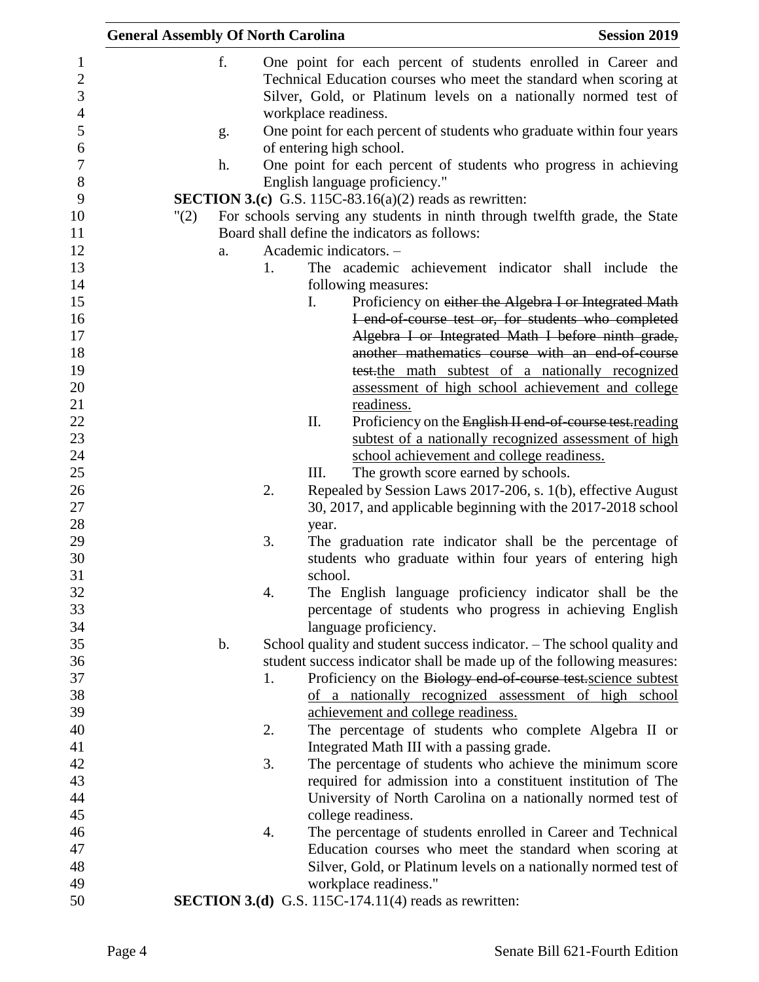|      | <b>General Assembly Of North Carolina</b> |                                                                                                                                                                                                                               | <b>Session 2019</b> |
|------|-------------------------------------------|-------------------------------------------------------------------------------------------------------------------------------------------------------------------------------------------------------------------------------|---------------------|
|      | f.                                        | One point for each percent of students enrolled in Career and<br>Technical Education courses who meet the standard when scoring at<br>Silver, Gold, or Platinum levels on a nationally normed test of<br>workplace readiness. |                     |
|      | g.                                        | One point for each percent of students who graduate within four years                                                                                                                                                         |                     |
|      |                                           | of entering high school.                                                                                                                                                                                                      |                     |
|      | h.                                        | One point for each percent of students who progress in achieving                                                                                                                                                              |                     |
|      |                                           | English language proficiency."                                                                                                                                                                                                |                     |
|      |                                           | <b>SECTION 3.(c)</b> G.S. 115C-83.16(a)(2) reads as rewritten:                                                                                                                                                                |                     |
| "(2) |                                           | For schools serving any students in ninth through twelfth grade, the State                                                                                                                                                    |                     |
|      |                                           | Board shall define the indicators as follows:                                                                                                                                                                                 |                     |
|      | a.                                        | Academic indicators. -                                                                                                                                                                                                        |                     |
|      | 1.                                        | The academic achievement indicator shall include the<br>following measures:                                                                                                                                                   |                     |
|      |                                           | $\mathbf{I}$ .<br>Proficiency on either the Algebra I or Integrated Math<br>I end of course test or, for students who completed                                                                                               |                     |
|      |                                           | Algebra I or Integrated Math I before ninth grade,                                                                                                                                                                            |                     |
|      |                                           | another mathematics course with an end of course                                                                                                                                                                              |                     |
|      |                                           | test-the math subtest of a nationally recognized                                                                                                                                                                              |                     |
|      |                                           | assessment of high school achievement and college                                                                                                                                                                             |                     |
|      |                                           | readiness.                                                                                                                                                                                                                    |                     |
|      |                                           | Π.<br>Proficiency on the English II end-of-course test-reading                                                                                                                                                                |                     |
|      |                                           | subtest of a nationally recognized assessment of high                                                                                                                                                                         |                     |
|      |                                           | school achievement and college readiness.                                                                                                                                                                                     |                     |
|      |                                           | Ш.<br>The growth score earned by schools.                                                                                                                                                                                     |                     |
|      | 2.                                        | Repealed by Session Laws 2017-206, s. 1(b), effective August                                                                                                                                                                  |                     |
|      |                                           | 30, 2017, and applicable beginning with the 2017-2018 school                                                                                                                                                                  |                     |
|      |                                           | year.                                                                                                                                                                                                                         |                     |
|      | 3.                                        | The graduation rate indicator shall be the percentage of                                                                                                                                                                      |                     |
|      |                                           | students who graduate within four years of entering high                                                                                                                                                                      |                     |
|      |                                           | school.                                                                                                                                                                                                                       |                     |
|      | 4.                                        | The English language proficiency indicator shall be the                                                                                                                                                                       |                     |
|      |                                           | percentage of students who progress in achieving English                                                                                                                                                                      |                     |
|      | b.                                        | language proficiency.                                                                                                                                                                                                         |                     |
|      |                                           | School quality and student success indicator. - The school quality and<br>student success indicator shall be made up of the following measures:                                                                               |                     |
|      | 1.                                        | Proficiency on the Biology end of course test science subtest                                                                                                                                                                 |                     |
|      |                                           | of a nationally recognized assessment of high school                                                                                                                                                                          |                     |
|      |                                           | achievement and college readiness.                                                                                                                                                                                            |                     |
|      | 2.                                        | The percentage of students who complete Algebra II or                                                                                                                                                                         |                     |
|      |                                           | Integrated Math III with a passing grade.                                                                                                                                                                                     |                     |
|      | 3.                                        | The percentage of students who achieve the minimum score                                                                                                                                                                      |                     |
|      |                                           | required for admission into a constituent institution of The                                                                                                                                                                  |                     |
|      |                                           | University of North Carolina on a nationally normed test of                                                                                                                                                                   |                     |
|      |                                           | college readiness.                                                                                                                                                                                                            |                     |
|      | 4.                                        | The percentage of students enrolled in Career and Technical                                                                                                                                                                   |                     |
|      |                                           | Education courses who meet the standard when scoring at                                                                                                                                                                       |                     |
|      |                                           | Silver, Gold, or Platinum levels on a nationally normed test of                                                                                                                                                               |                     |
|      |                                           | workplace readiness."                                                                                                                                                                                                         |                     |
|      |                                           | <b>SECTION 3.(d)</b> G.S. 115C-174.11(4) reads as rewritten:                                                                                                                                                                  |                     |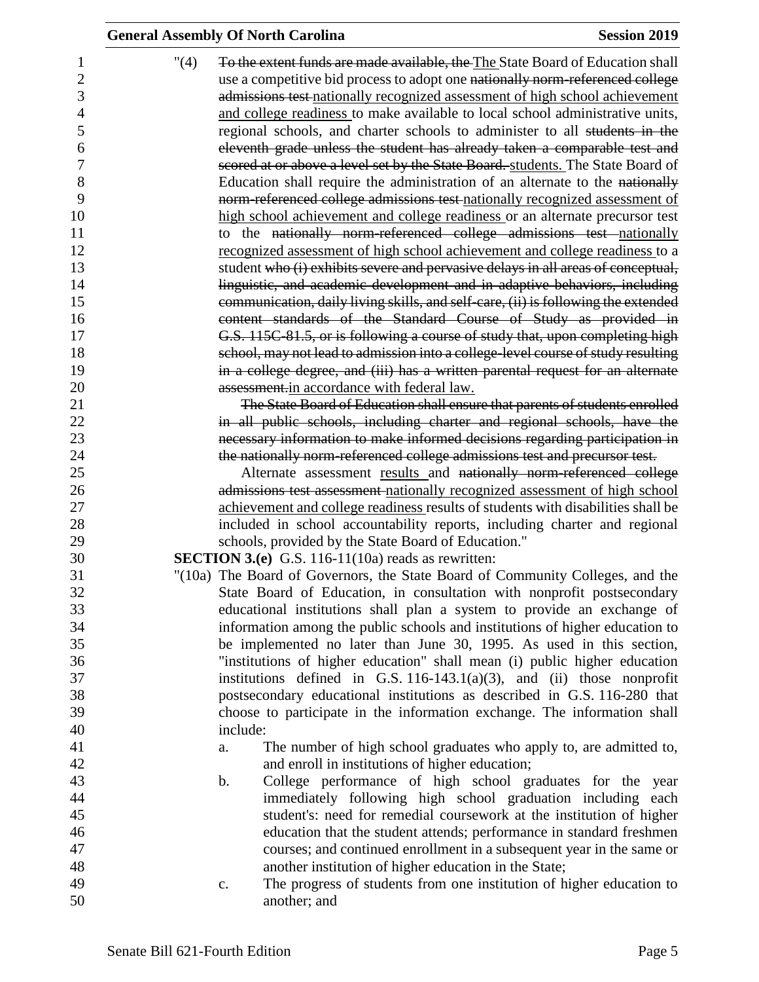|                | <b>General Assembly Of North Carolina</b>                                              | <b>Session 2019</b> |
|----------------|----------------------------------------------------------------------------------------|---------------------|
|                | "(4)<br>To the extent funds are made available, the The State Board of Education shall |                     |
| $\overline{2}$ | use a competitive bid process to adopt one nationally norm-referenced college          |                     |
|                | admissions test nationally recognized assessment of high school achievement            |                     |
|                | and college readiness to make available to local school administrative units,          |                     |
| 5              |                                                                                        |                     |
|                | regional schools, and charter schools to administer to all students in the             |                     |
| 6              | eleventh grade unless the student has already taken a comparable test and              |                     |
|                | scored at or above a level set by the State Board. students. The State Board of        |                     |
| 8              | Education shall require the administration of an alternate to the nationally           |                     |
| 9              | norm-referenced college admissions test nationally recognized assessment of            |                     |
| 10             | high school achievement and college readiness or an alternate precursor test           |                     |
|                | to the nationally norm-referenced college admissions test nationally                   |                     |
| 12             | recognized assessment of high school achievement and college readiness to a            |                     |
|                | student who (i) exhibits severe and pervasive delays in all areas of conceptual,       |                     |
| 14             | linguistic, and academic development and in adaptive behaviors, including              |                     |
| 15             | communication, daily living skills, and self-care, (ii) is following the extended      |                     |
| 16             | content standards of the Standard Course of Study as provided in                       |                     |
| 17             | G.S. 115C-81.5, or is following a course of study that, upon completing high           |                     |
| 18             | school, may not lead to admission into a college-level course of study resulting       |                     |
| 19             | in a college degree, and (iii) has a written parental request for an alternate         |                     |
| 20             | assessment.in accordance with federal law.                                             |                     |
|                | The State Board of Education shall ensure that parents of students enrolled            |                     |
| 22<br>23       | in all public schools, including charter and regional schools, have the                |                     |
|                | necessary information to make informed decisions regarding participation in            |                     |
|                | the nationally norm-referenced college admissions test and precursor test.             |                     |
|                | Alternate assessment results and nationally norm-referenced college                    |                     |
|                | admissions test assessment nationally recognized assessment of high school             |                     |
|                | achievement and college readiness results of students with disabilities shall be       |                     |
|                | included in school accountability reports, including charter and regional              |                     |
|                | schools, provided by the State Board of Education."                                    |                     |
|                | <b>SECTION 3.(e)</b> G.S. 116-11(10a) reads as rewritten:                              |                     |
|                | "(10a) The Board of Governors, the State Board of Community Colleges, and the          |                     |
|                | State Board of Education, in consultation with nonprofit postsecondary                 |                     |
|                | educational institutions shall plan a system to provide an exchange of                 |                     |
|                | information among the public schools and institutions of higher education to           |                     |
|                | be implemented no later than June 30, 1995. As used in this section,                   |                     |
|                | "institutions of higher education" shall mean (i) public higher education              |                     |
|                | institutions defined in G.S. $116-143.1(a)(3)$ , and (ii) those nonprofit              |                     |
|                | postsecondary educational institutions as described in G.S. 116-280 that               |                     |
|                | choose to participate in the information exchange. The information shall               |                     |
|                | include:                                                                               |                     |
|                | The number of high school graduates who apply to, are admitted to,<br>a.               |                     |
|                | and enroll in institutions of higher education;                                        |                     |
|                | College performance of high school graduates for the year<br>b.                        |                     |
|                | immediately following high school graduation including each                            |                     |
|                | student's: need for remedial coursework at the institution of higher                   |                     |
|                | education that the student attends; performance in standard freshmen                   |                     |
|                | courses; and continued enrollment in a subsequent year in the same or                  |                     |
|                | another institution of higher education in the State;                                  |                     |
|                | The progress of students from one institution of higher education to<br>c.             |                     |
|                | another; and                                                                           |                     |
|                |                                                                                        |                     |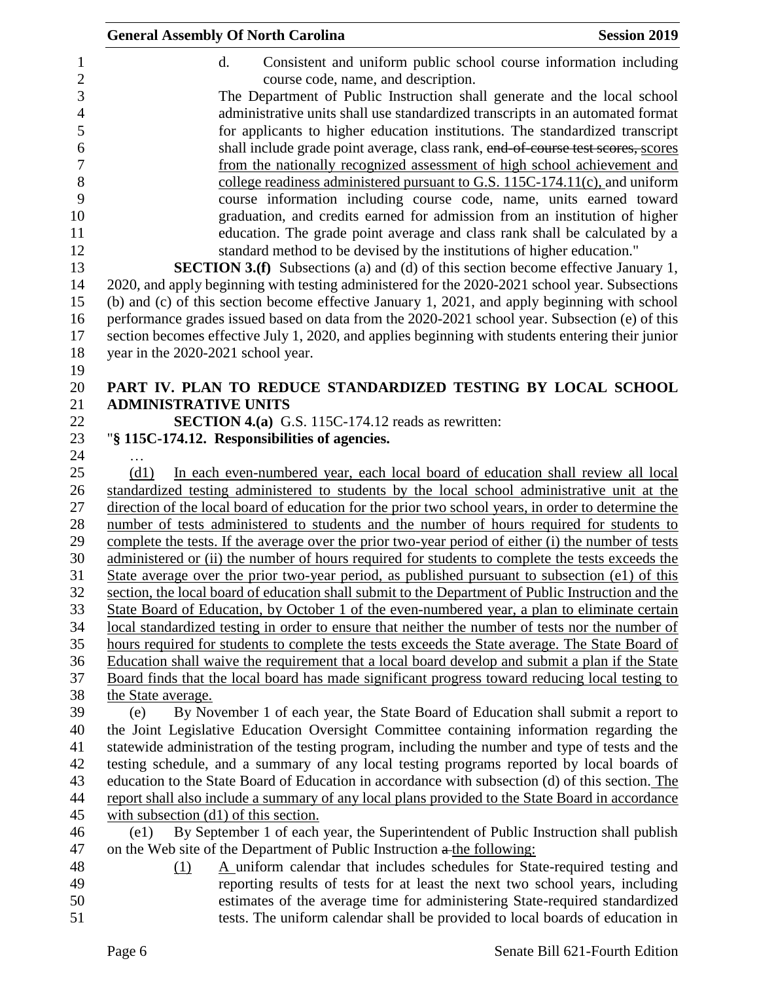| <b>General Assembly Of North Carolina</b><br><b>Session 2019</b>                                                                                                                                 |
|--------------------------------------------------------------------------------------------------------------------------------------------------------------------------------------------------|
| Consistent and uniform public school course information including<br>d.                                                                                                                          |
| course code, name, and description.                                                                                                                                                              |
| The Department of Public Instruction shall generate and the local school                                                                                                                         |
| administrative units shall use standardized transcripts in an automated format                                                                                                                   |
| for applicants to higher education institutions. The standardized transcript                                                                                                                     |
| shall include grade point average, class rank, end of course test scores, scores                                                                                                                 |
| from the nationally recognized assessment of high school achievement and                                                                                                                         |
| college readiness administered pursuant to G.S. 115C-174.11(c), and uniform                                                                                                                      |
| course information including course code, name, units earned toward                                                                                                                              |
| graduation, and credits earned for admission from an institution of higher                                                                                                                       |
| education. The grade point average and class rank shall be calculated by a                                                                                                                       |
| standard method to be devised by the institutions of higher education."                                                                                                                          |
| <b>SECTION 3.(f)</b> Subsections (a) and (d) of this section become effective January 1,                                                                                                         |
| 2020, and apply beginning with testing administered for the 2020-2021 school year. Subsections                                                                                                   |
| (b) and (c) of this section become effective January 1, 2021, and apply beginning with school                                                                                                    |
| performance grades issued based on data from the 2020-2021 school year. Subsection (e) of this                                                                                                   |
| section becomes effective July 1, 2020, and applies beginning with students entering their junior                                                                                                |
| year in the 2020-2021 school year.                                                                                                                                                               |
|                                                                                                                                                                                                  |
| PART IV. PLAN TO REDUCE STANDARDIZED TESTING BY LOCAL SCHOOL                                                                                                                                     |
| <b>ADMINISTRATIVE UNITS</b>                                                                                                                                                                      |
| <b>SECTION 4.(a)</b> G.S. 115C-174.12 reads as rewritten:                                                                                                                                        |
| "§ 115C-174.12. Responsibilities of agencies.                                                                                                                                                    |
| .                                                                                                                                                                                                |
| In each even-numbered year, each local board of education shall review all local<br>(d1)                                                                                                         |
| standardized testing administered to students by the local school administrative unit at the                                                                                                     |
| direction of the local board of education for the prior two school years, in order to determine the                                                                                              |
| number of tests administered to students and the number of hours required for students to<br>complete the tests. If the average over the prior two-year period of either (i) the number of tests |
| administered or (ii) the number of hours required for students to complete the tests exceeds the                                                                                                 |
| State average over the prior two-year period, as published pursuant to subsection (e1) of this                                                                                                   |
| section, the local board of education shall submit to the Department of Public Instruction and the                                                                                               |
| State Board of Education, by October 1 of the even-numbered year, a plan to eliminate certain                                                                                                    |
| local standardized testing in order to ensure that neither the number of tests nor the number of                                                                                                 |
| hours required for students to complete the tests exceeds the State average. The State Board of                                                                                                  |
| Education shall waive the requirement that a local board develop and submit a plan if the State                                                                                                  |
| Board finds that the local board has made significant progress toward reducing local testing to                                                                                                  |
| the State average.                                                                                                                                                                               |
| By November 1 of each year, the State Board of Education shall submit a report to<br>(e)                                                                                                         |
| the Joint Legislative Education Oversight Committee containing information regarding the                                                                                                         |
| statewide administration of the testing program, including the number and type of tests and the                                                                                                  |
| testing schedule, and a summary of any local testing programs reported by local boards of                                                                                                        |
| education to the State Board of Education in accordance with subsection (d) of this section. The                                                                                                 |
| report shall also include a summary of any local plans provided to the State Board in accordance                                                                                                 |
| with subsection $(d1)$ of this section.                                                                                                                                                          |
| By September 1 of each year, the Superintendent of Public Instruction shall publish<br>(e1)                                                                                                      |
| on the Web site of the Department of Public Instruction a the following:                                                                                                                         |
| A uniform calendar that includes schedules for State-required testing and<br>(1)                                                                                                                 |
| reporting results of tests for at least the next two school years, including                                                                                                                     |
| estimates of the average time for administering State-required standardized                                                                                                                      |

51 tests. The uniform calendar shall be provided to local boards of education in